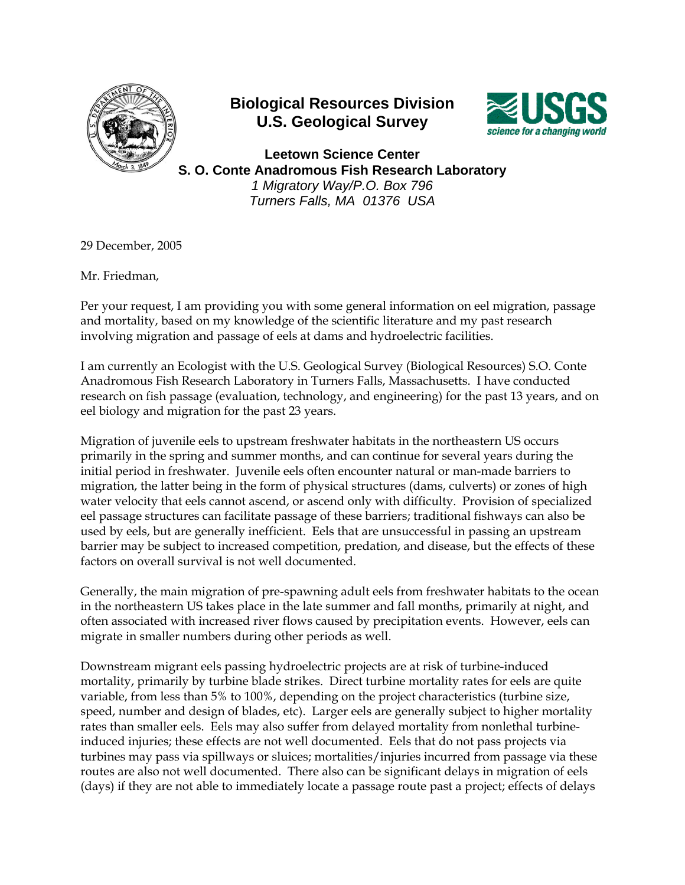

## **Biological Resources Division U.S. Geological Survey**



**Leetown Science Center S. O. Conte Anadromous Fish Research Laboratory**  *1 Migratory Way/P.O. Box 796 Turners Falls, MA 01376 USA*

29 December, 2005

Mr. Friedman,

Per your request, I am providing you with some general information on eel migration, passage and mortality, based on my knowledge of the scientific literature and my past research involving migration and passage of eels at dams and hydroelectric facilities.

I am currently an Ecologist with the U.S. Geological Survey (Biological Resources) S.O. Conte Anadromous Fish Research Laboratory in Turners Falls, Massachusetts. I have conducted research on fish passage (evaluation, technology, and engineering) for the past 13 years, and on eel biology and migration for the past 23 years.

Migration of juvenile eels to upstream freshwater habitats in the northeastern US occurs primarily in the spring and summer months, and can continue for several years during the initial period in freshwater. Juvenile eels often encounter natural or man-made barriers to migration, the latter being in the form of physical structures (dams, culverts) or zones of high water velocity that eels cannot ascend, or ascend only with difficulty. Provision of specialized eel passage structures can facilitate passage of these barriers; traditional fishways can also be used by eels, but are generally inefficient. Eels that are unsuccessful in passing an upstream barrier may be subject to increased competition, predation, and disease, but the effects of these factors on overall survival is not well documented.

Generally, the main migration of pre-spawning adult eels from freshwater habitats to the ocean in the northeastern US takes place in the late summer and fall months, primarily at night, and often associated with increased river flows caused by precipitation events. However, eels can migrate in smaller numbers during other periods as well.

Downstream migrant eels passing hydroelectric projects are at risk of turbine-induced mortality, primarily by turbine blade strikes. Direct turbine mortality rates for eels are quite variable, from less than 5% to 100%, depending on the project characteristics (turbine size, speed, number and design of blades, etc). Larger eels are generally subject to higher mortality rates than smaller eels. Eels may also suffer from delayed mortality from nonlethal turbineinduced injuries; these effects are not well documented. Eels that do not pass projects via turbines may pass via spillways or sluices; mortalities/injuries incurred from passage via these routes are also not well documented. There also can be significant delays in migration of eels (days) if they are not able to immediately locate a passage route past a project; effects of delays